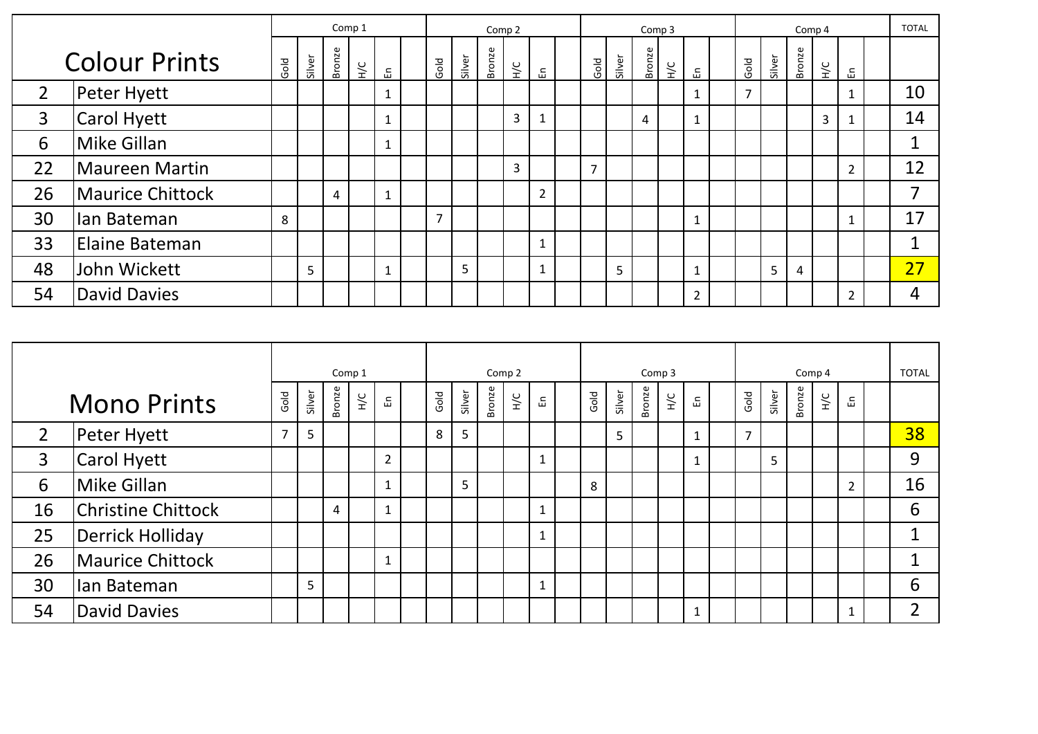|                      |                     |   | Comp 1 |        |               |              |  |                |        | Comp <sub>2</sub> |               |                | Comp 3         |        |        |               |                          |  |                | Comp 4 |        |               |                |  |    |  |  |
|----------------------|---------------------|---|--------|--------|---------------|--------------|--|----------------|--------|-------------------|---------------|----------------|----------------|--------|--------|---------------|--------------------------|--|----------------|--------|--------|---------------|----------------|--|----|--|--|
| <b>Colour Prints</b> |                     |   | Silver | Bronze | $\frac{1}{2}$ | 문            |  | Gold           | Silver | Bronze            | $\frac{1}{2}$ | 品              | Gold           | Silver | Bronze | $\frac{C}{T}$ | 品                        |  | Gold           | Silver | Bronze | $\frac{1}{2}$ | 品              |  |    |  |  |
| $\overline{2}$       | Peter Hyett         |   |        |        |               | $\mathbf{1}$ |  |                |        |                   |               |                |                |        |        |               |                          |  | $\overline{7}$ |        |        |               | 1              |  | 10 |  |  |
| 3                    | Carol Hyett         |   |        |        |               | 1            |  |                |        |                   | 3             |                |                |        | 4      |               |                          |  |                |        |        | 3             |                |  | 14 |  |  |
| 6                    | Mike Gillan         |   |        |        |               | 1            |  |                |        |                   |               |                |                |        |        |               |                          |  |                |        |        |               |                |  | 1  |  |  |
| 22                   | Maureen Martin      |   |        |        |               |              |  |                |        |                   | 3             |                | $\overline{7}$ |        |        |               |                          |  |                |        |        |               | $\overline{2}$ |  | 12 |  |  |
| 26                   | Maurice Chittock    |   |        | 4      |               | $\mathbf{1}$ |  |                |        |                   |               | $\overline{2}$ |                |        |        |               |                          |  |                |        |        |               |                |  | 7  |  |  |
| 30                   | lan Bateman         | 8 |        |        |               |              |  | $\overline{7}$ |        |                   |               |                |                |        |        |               |                          |  |                |        |        |               | $\mathbf{1}$   |  | 17 |  |  |
| 33                   | Elaine Bateman      |   |        |        |               |              |  |                |        |                   |               |                |                |        |        |               |                          |  |                |        |        |               |                |  | ◢  |  |  |
| 48                   | John Wickett        |   | 5      |        |               | $\mathbf{1}$ |  |                | 5      |                   |               |                |                | 5      |        |               | $\overline{\phantom{a}}$ |  |                | 5      | 4      |               |                |  | 27 |  |  |
| 54                   | <b>David Davies</b> |   |        |        |               |              |  |                |        |                   |               |                |                |        |        |               | $\overline{2}$           |  |                |        |        |               | 2              |  | 4  |  |  |

|                    |                           | Comp 1         |        |        |               |                |  |      | Comp 2 |        |               |              |  |      |        | Comp 3 |    |   |  |                |        |        | Comp 4        |                |  |                |  |  |  |  |
|--------------------|---------------------------|----------------|--------|--------|---------------|----------------|--|------|--------|--------|---------------|--------------|--|------|--------|--------|----|---|--|----------------|--------|--------|---------------|----------------|--|----------------|--|--|--|--|
| <b>Mono Prints</b> |                           |                | Silver | Bronze | $rac{C}{\pm}$ | 띹              |  | Gold | Silver | Bronze | $\frac{1}{2}$ | 띥            |  | Gold | Silver | Bronze | УF | 띧 |  | Gold           | Silver | Bronze | $\frac{1}{2}$ | 띰              |  |                |  |  |  |  |
| $\overline{2}$     | Peter Hyett               | $\overline{7}$ | 5      |        |               |                |  | 8    | 5      |        |               |              |  |      | 5      |        |    |   |  | $\overline{7}$ |        |        |               |                |  | 38             |  |  |  |  |
| 3                  | <b>Carol Hyett</b>        |                |        |        |               | $\overline{2}$ |  |      |        |        |               | 1            |  |      |        |        |    | 1 |  |                | 5      |        |               |                |  | 9              |  |  |  |  |
| 6                  | Mike Gillan               |                |        |        |               |                |  |      | 5      |        |               |              |  | 8    |        |        |    |   |  |                |        |        |               | $\overline{2}$ |  | 16             |  |  |  |  |
| 16                 | <b>Christine Chittock</b> |                |        | 4      |               | $\mathbf 1$    |  |      |        |        |               | 1            |  |      |        |        |    |   |  |                |        |        |               |                |  | 6              |  |  |  |  |
| 25                 | <b>Derrick Holliday</b>   |                |        |        |               |                |  |      |        |        |               | $\mathbf{1}$ |  |      |        |        |    |   |  |                |        |        |               |                |  | 1              |  |  |  |  |
| 26                 | Maurice Chittock          |                |        |        |               | $\overline{ }$ |  |      |        |        |               |              |  |      |        |        |    |   |  |                |        |        |               |                |  | 1              |  |  |  |  |
| 30                 | Ian Bateman               |                | 5      |        |               |                |  |      |        |        |               | -1           |  |      |        |        |    |   |  |                |        |        |               |                |  | 6              |  |  |  |  |
| 54                 | <b>David Davies</b>       |                |        |        |               |                |  |      |        |        |               |              |  |      |        |        |    |   |  |                |        |        |               |                |  | $\overline{2}$ |  |  |  |  |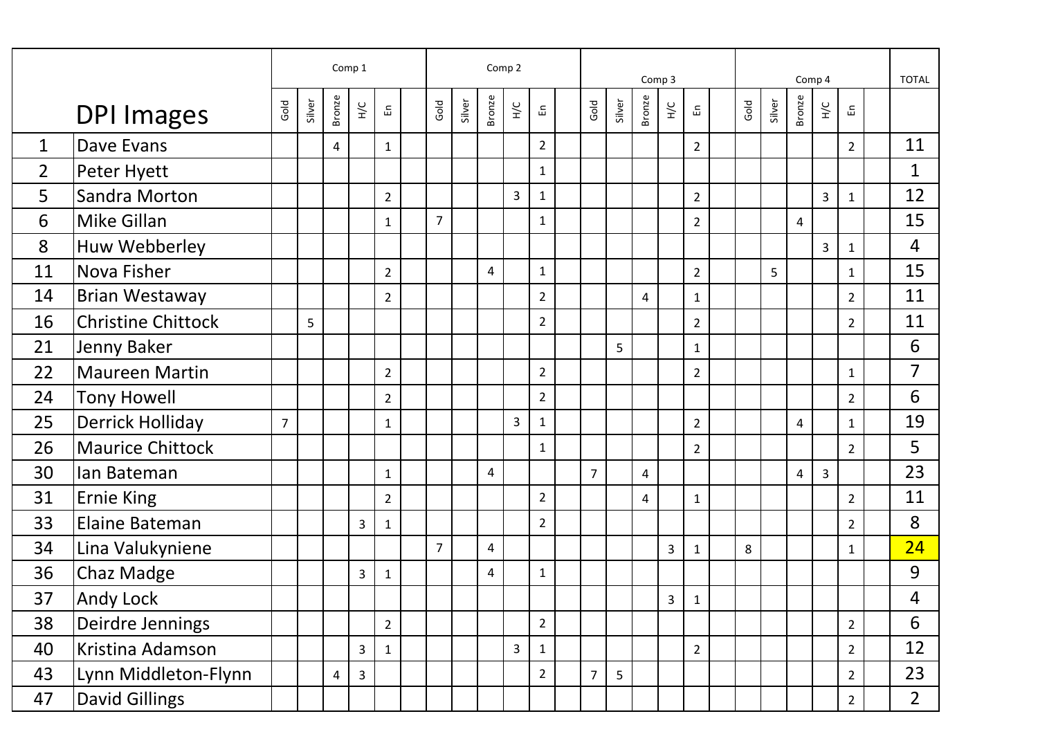|                |                           | Comp 1         |        |                |               |                |  | Comp 2         |        |                |                |                |  |                |        | Comp 3         |                         |                |      | <b>TOTAL</b> |                         |                |                |  |                         |
|----------------|---------------------------|----------------|--------|----------------|---------------|----------------|--|----------------|--------|----------------|----------------|----------------|--|----------------|--------|----------------|-------------------------|----------------|------|--------------|-------------------------|----------------|----------------|--|-------------------------|
|                | <b>DPI Images</b>         | Gold           | Silver | Bronze         | $\frac{C}{T}$ | 띵              |  | Gold           | Silver | <b>Bronze</b>  | $\frac{C}{L}$  | 品              |  | Gold           | Silver | Bronze         | $\frac{1}{2}$           | 됴              | Gold | Silver       | <b>Bronze</b>           | УC             | 品              |  |                         |
| $\mathbf{1}$   | Dave Evans                |                |        | 4              |               | $\mathbf{1}$   |  |                |        |                |                | $\overline{2}$ |  |                |        |                |                         | $\overline{2}$ |      |              |                         |                | $\overline{2}$ |  | 11                      |
| $\overline{2}$ | Peter Hyett               |                |        |                |               |                |  |                |        |                |                | $\mathbf{1}$   |  |                |        |                |                         |                |      |              |                         |                |                |  | $\mathbf 1$             |
| 5              | Sandra Morton             |                |        |                |               | $\overline{2}$ |  |                |        |                | 3              | $\mathbf{1}$   |  |                |        |                |                         | $\overline{2}$ |      |              |                         | 3              | $\mathbf{1}$   |  | 12                      |
| 6              | Mike Gillan               |                |        |                |               | $\mathbf{1}$   |  | $\overline{7}$ |        |                |                | $\mathbf{1}$   |  |                |        |                |                         | $\overline{2}$ |      |              | 4                       |                |                |  | 15                      |
| 8              | Huw Webberley             |                |        |                |               |                |  |                |        |                |                |                |  |                |        |                |                         |                |      |              |                         | $\overline{3}$ | $\mathbf{1}$   |  | $\overline{4}$          |
| 11             | Nova Fisher               |                |        |                |               | $\overline{2}$ |  |                |        | $\overline{4}$ |                | $\mathbf{1}$   |  |                |        |                |                         | $\overline{2}$ |      | 5            |                         |                | $\mathbf{1}$   |  | 15                      |
| 14             | <b>Brian Westaway</b>     |                |        |                |               | $\overline{2}$ |  |                |        |                |                | $\overline{2}$ |  |                |        | $\overline{4}$ |                         | $\mathbf{1}$   |      |              |                         |                | $\overline{2}$ |  | 11                      |
| 16             | <b>Christine Chittock</b> |                | 5      |                |               |                |  |                |        |                |                | $\overline{2}$ |  |                |        |                |                         | $\overline{2}$ |      |              |                         |                | $\overline{2}$ |  | 11                      |
| 21             | Jenny Baker               |                |        |                |               |                |  |                |        |                |                |                |  |                | 5      |                |                         | $\mathbf{1}$   |      |              |                         |                |                |  | 6                       |
| 22             | <b>Maureen Martin</b>     |                |        |                |               | $\overline{2}$ |  |                |        |                |                | $\overline{2}$ |  |                |        |                |                         | $\overline{2}$ |      |              |                         |                | $\mathbf{1}$   |  | $\overline{7}$          |
| 24             | <b>Tony Howell</b>        |                |        |                |               | $\overline{2}$ |  |                |        |                |                | $\overline{2}$ |  |                |        |                |                         |                |      |              |                         |                | $\overline{2}$ |  | 6                       |
| 25             | Derrick Holliday          | $\overline{7}$ |        |                |               | 1              |  |                |        |                | $\overline{3}$ | $\mathbf{1}$   |  |                |        |                |                         | $\overline{2}$ |      |              | $\overline{4}$          |                | 1              |  | 19                      |
| 26             | <b>Maurice Chittock</b>   |                |        |                |               |                |  |                |        |                |                | $\mathbf{1}$   |  |                |        |                |                         | $\overline{2}$ |      |              |                         |                | $\overline{2}$ |  | 5                       |
| 30             | Ian Bateman               |                |        |                |               | $\mathbf{1}$   |  |                |        | $\overline{4}$ |                |                |  | $\overline{7}$ |        | 4              |                         |                |      |              | $\overline{\mathbf{4}}$ | $\overline{3}$ |                |  | 23                      |
| 31             | <b>Ernie King</b>         |                |        |                |               | $\overline{2}$ |  |                |        |                |                | $\overline{2}$ |  |                |        | 4              |                         | $\mathbf{1}$   |      |              |                         |                | $\overline{2}$ |  | 11                      |
| 33             | Elaine Bateman            |                |        |                | 3             | $\mathbf{1}$   |  |                |        |                |                | $\overline{2}$ |  |                |        |                |                         |                |      |              |                         |                | $\overline{2}$ |  | 8                       |
| 34             | Lina Valukyniene          |                |        |                |               |                |  | $\overline{7}$ |        | $\overline{4}$ |                |                |  |                |        |                | $\mathbf{3}$            | $\mathbf{1}$   | 8    |              |                         |                | $\mathbf{1}$   |  | 24                      |
| 36             | Chaz Madge                |                |        |                | 3             | $\mathbf{1}$   |  |                |        | $\pmb{4}$      |                | $\mathbf{1}$   |  |                |        |                |                         |                |      |              |                         |                |                |  | 9                       |
| 37             | Andy Lock                 |                |        |                |               |                |  |                |        |                |                |                |  |                |        |                | $\overline{\mathbf{3}}$ | $\mathbf 1$    |      |              |                         |                |                |  | $\overline{\mathbf{4}}$ |
| 38             | Deirdre Jennings          |                |        |                |               | $\overline{2}$ |  |                |        |                |                | $\overline{2}$ |  |                |        |                |                         |                |      |              |                         |                | $\overline{2}$ |  | 6                       |
| 40             | Kristina Adamson          |                |        |                | 3             | $\mathbf{1}$   |  |                |        |                | $\overline{3}$ | $\mathbf{1}$   |  |                |        |                |                         | $\overline{2}$ |      |              |                         |                | $\overline{2}$ |  | 12                      |
| 43             | Lynn Middleton-Flynn      |                |        | $\overline{4}$ | 3             |                |  |                |        |                |                | $\overline{2}$ |  | $\overline{7}$ | 5      |                |                         |                |      |              |                         |                | $\overline{2}$ |  | 23                      |
| 47             | <b>David Gillings</b>     |                |        |                |               |                |  |                |        |                |                |                |  |                |        |                |                         |                |      |              |                         |                | $\overline{2}$ |  | 2 <sup>1</sup>          |